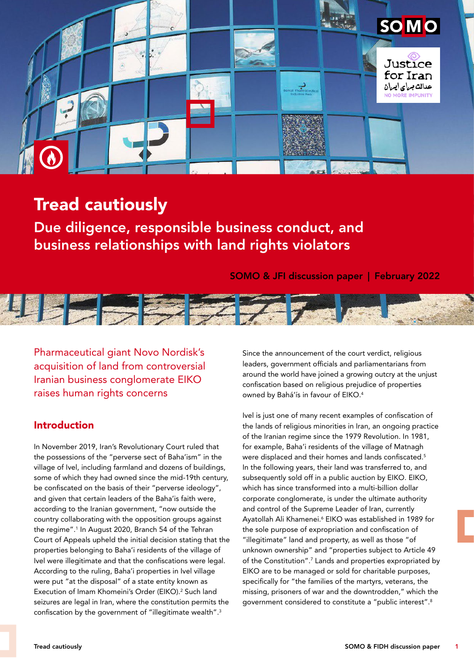

# Tread cautiously

Due diligence, responsible business conduct, and business relationships with land rights violators

SOMO & JFI discussion paper | February 2022



Pharmaceutical giant Novo Nordisk's acquisition of land from controversial Iranian business conglomerate EIKO raises human rights concerns

## Introduction

In November 2019, Iran's Revolutionary Court ruled that the possessions of the "perverse sect of Baha'ism" in the village of Ivel, including farmland and dozens of buildings, some of which they had owned since the mid-19th century, be confiscated on the basis of their "perverse ideology", and given that certain leaders of the Baha'is faith were, according to the Iranian government, "now outside the country collaborating with the opposition groups against the regime".1 In August 2020, Branch 54 of the Tehran Court of Appeals upheld the initial decision stating that the properties belonging to Baha'i residents of the village of Ivel were illegitimate and that the confiscations were legal. According to the ruling, Baha'i properties in Ivel village were put "at the disposal" of a state entity known as Execution of Imam Khomeini's Order (EIKO).<sup>2</sup> Such land seizures are legal in Iran, where the constitution permits the confiscation by the government of "illegitimate wealth".3

Since the announcement of the court verdict, religious leaders, government officials and parliamentarians from around the world have joined a growing outcry at the unjust confiscation based on religious prejudice of properties owned by Bahá'ís in favour of EIKO.4

Ivel is just one of many recent examples of confiscation of the lands of religious minorities in Iran, an ongoing practice of the Iranian regime since the 1979 Revolution. In 1981, for example, Baha'i residents of the village of Matnagh were displaced and their homes and lands confiscated.<sup>5</sup> In the following years, their land was transferred to, and subsequently sold off in a public auction by EIKO. EIKO, which has since transformed into a multi-billion dollar corporate conglomerate, is under the ultimate authority and control of the Supreme Leader of Iran, currently Ayatollah Ali Khamenei.<sup>6</sup> EIKO was established in 1989 for the sole purpose of expropriation and confiscation of "illegitimate" land and property, as well as those "of unknown ownership" and "properties subject to Article 49 of the Constitution".7 Lands and properties expropriated by EIKO are to be managed or sold for charitable purposes, specifically for "the families of the martyrs, veterans, the missing, prisoners of war and the downtrodden," which the government considered to constitute a "public interest".8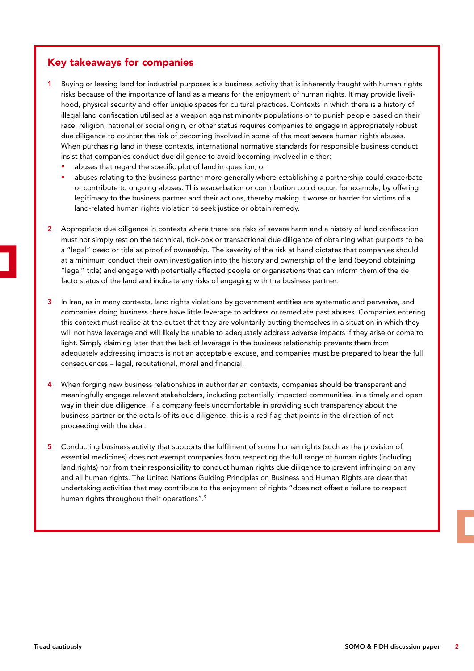## Key takeaways for companies

- Buying or leasing land for industrial purposes is a business activity that is inherently fraught with human rights risks because of the importance of land as a means for the enjoyment of human rights. It may provide livelihood, physical security and offer unique spaces for cultural practices. Contexts in which there is a history of illegal land confiscation utilised as a weapon against minority populations or to punish people based on their race, religion, national or social origin, or other status requires companies to engage in appropriately robust due diligence to counter the risk of becoming involved in some of the most severe human rights abuses. When purchasing land in these contexts, international normative standards for responsible business conduct insist that companies conduct due diligence to avoid becoming involved in either:
	- abuses that regard the specific plot of land in question; or
	- abuses relating to the business partner more generally where establishing a partnership could exacerbate or contribute to ongoing abuses. This exacerbation or contribution could occur, for example, by offering legitimacy to the business partner and their actions, thereby making it worse or harder for victims of a land-related human rights violation to seek justice or obtain remedy.
- 2 Appropriate due diligence in contexts where there are risks of severe harm and a history of land confiscation must not simply rest on the technical, tick-box or transactional due diligence of obtaining what purports to be a "legal" deed or title as proof of ownership. The severity of the risk at hand dictates that companies should at a minimum conduct their own investigation into the history and ownership of the land (beyond obtaining "legal" title) and engage with potentially affected people or organisations that can inform them of the de facto status of the land and indicate any risks of engaging with the business partner.
- 3 In Iran, as in many contexts, land rights violations by government entities are systematic and pervasive, and companies doing business there have little leverage to address or remediate past abuses. Companies entering this context must realise at the outset that they are voluntarily putting themselves in a situation in which they will not have leverage and will likely be unable to adequately address adverse impacts if they arise or come to light. Simply claiming later that the lack of leverage in the business relationship prevents them from adequately addressing impacts is not an acceptable excuse, and companies must be prepared to bear the full consequences – legal, reputational, moral and financial.
- 4 When forging new business relationships in authoritarian contexts, companies should be transparent and meaningfully engage relevant stakeholders, including potentially impacted communities, in a timely and open way in their due diligence. If a company feels uncomfortable in providing such transparency about the business partner or the details of its due diligence, this is a red flag that points in the direction of not proceeding with the deal.
- 5 Conducting business activity that supports the fulfilment of some human rights (such as the provision of essential medicines) does not exempt companies from respecting the full range of human rights (including land rights) nor from their responsibility to conduct human rights due diligence to prevent infringing on any and all human rights. The United Nations Guiding Principles on Business and Human Rights are clear that undertaking activities that may contribute to the enjoyment of rights "does not offset a failure to respect human rights throughout their operations".<sup>9</sup>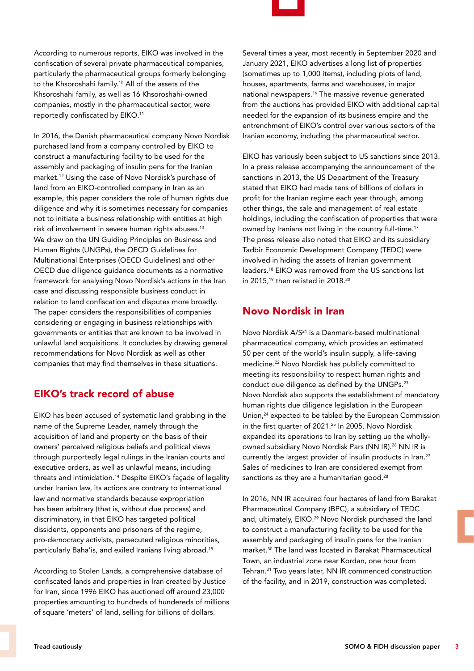According to numerous reports, EIKO was involved in the confiscation of several private pharmaceutical companies, particularly the pharmaceutical groups formerly belonging to the Khsoroshahi family.10 All of the assets of the Khsoroshahi family, as well as 16 Khsoroshahi-owned companies, mostly in the pharmaceutical sector, were reportedly confiscated by EIKO.11

In 2016, the Danish pharmaceutical company Novo Nordisk purchased land from a company controlled by EIKO to construct a manufacturing facility to be used for the assembly and packaging of insulin pens for the Iranian market.12 Using the case of Novo Nordisk's purchase of land from an EIKO-controlled company in Iran as an example, this paper considers the role of human rights due diligence and why it is sometimes necessary for companies not to initiate a business relationship with entities at high risk of involvement in severe human rights abuses.<sup>13</sup> We draw on the UN Guiding Principles on Business and Human Rights (UNGPs), the OECD Guidelines for Multinational Enterprises (OECD Guidelines) and other OECD due diligence guidance documents as a normative framework for analysing Novo Nordisk's actions in the Iran case and discussing responsible business conduct in relation to land confiscation and disputes more broadly. The paper considers the responsibilities of companies considering or engaging in business relationships with governments or entities that are known to be involved in unlawful land acquisitions. It concludes by drawing general recommendations for Novo Nordisk as well as other companies that may find themselves in these situations.

## EIKO's track record of abuse

EIKO has been accused of systematic land grabbing in the name of the Supreme Leader, namely through the acquisition of land and property on the basis of their owners' perceived religious beliefs and political views through purportedly legal rulings in the Iranian courts and executive orders, as well as unlawful means, including threats and intimidation.14 Despite EIKO's façade of legality under Iranian law, its actions are contrary to international law and normative standards because expropriation has been arbitrary (that is, without due process) and discriminatory, in that EIKO has targeted political dissidents, opponents and prisoners of the regime, pro-democracy activists, persecuted religious minorities, particularly Baha'is, and exiled Iranians living abroad.15

According to Stolen Lands, a comprehensive database of confiscated lands and properties in Iran created by Justice for Iran, since 1996 EIKO has auctioned off around 23,000 properties amounting to hundreds of hundereds of millions of square 'meters' of land, selling for billions of dollars.



Several times a year, most recently in September 2020 and January 2021, EIKO advertises a long list of properties (sometimes up to 1,000 items), including plots of land, houses, apartments, farms and warehouses, in major national newspapers.16 The massive revenue generated from the auctions has provided EIKO with additional capital needed for the expansion of its business empire and the entrenchment of EIKO's control over various sectors of the Iranian economy, including the pharmaceutical sector.

EIKO has variously been subject to US sanctions since 2013. In a press release accompanying the announcement of the sanctions in 2013, the US Department of the Treasury stated that EIKO had made tens of billions of dollars in profit for the Iranian regime each year through, among other things, the sale and management of real estate holdings, including the confiscation of properties that were owned by Iranians not living in the country full-time.<sup>17</sup> The press release also noted that EIKO and its subsidiary Tadbir Economic Development Company (TEDC) were involved in hiding the assets of Iranian government leaders.18 EIKO was removed from the US sanctions list in 2015,<sup>19</sup> then relisted in 2018.<sup>20</sup>

## Novo Nordisk in Iran

Novo Nordisk A/S<sup>21</sup> is a Denmark-based multinational pharmaceutical company, which provides an estimated 50 per cent of the world's insulin supply, a life-saving medicine.22 Novo Nordisk has publicly committed to meeting its responsibility to respect human rights and conduct due diligence as defined by the UNGPs.23 Novo Nordisk also supports the establishment of mandatory human rights due diligence legislation in the European Union,<sup>24</sup> expected to be tabled by the European Commission in the first quarter of 2021.<sup>25</sup> In 2005, Novo Nordisk expanded its operations to Iran by setting up the whollyowned subsidiary Novo Nordisk Pars (NN IR).<sup>26</sup> NN IR is currently the largest provider of insulin products in Iran.<sup>27</sup> Sales of medicines to Iran are considered exempt from sanctions as they are a humanitarian good.<sup>28</sup>

In 2016, NN IR acquired four hectares of land from Barakat Pharmaceutical Company (BPC), a subsidiary of TEDC and, ultimately, EIKO.<sup>29</sup> Novo Nordisk purchased the land to construct a manufacturing facility to be used for the assembly and packaging of insulin pens for the Iranian market.30 The land was located in Barakat Pharmaceutical Town, an industrial zone near Kordan, one hour from Tehran.31 Two years later, NN IR commenced construction of the facility, and in 2019, construction was completed.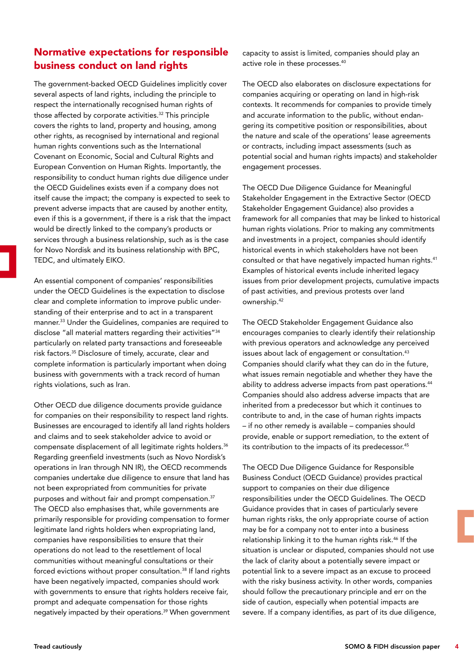## Normative expectations for responsible business conduct on land rights

The government-backed OECD Guidelines implicitly cover several aspects of land rights, including the principle to respect the internationally recognised human rights of those affected by corporate activities.<sup>32</sup> This principle covers the rights to land, property and housing, among other rights, as recognised by international and regional human rights conventions such as the International Covenant on Economic, Social and Cultural Rights and European Convention on Human Rights. Importantly, the responsibility to conduct human rights due diligence under the OECD Guidelines exists even if a company does not itself cause the impact; the company is expected to seek to prevent adverse impacts that are caused by another entity, even if this is a government, if there is a risk that the impact would be directly linked to the company's products or services through a business relationship, such as is the case for Novo Nordisk and its business relationship with BPC, TEDC, and ultimately EIKO.

An essential component of companies' responsibilities under the OECD Guidelines is the expectation to disclose clear and complete information to improve public understanding of their enterprise and to act in a transparent manner.33 Under the Guidelines, companies are required to disclose "all material matters regarding their activities"34 particularly on related party transactions and foreseeable risk factors.35 Disclosure of timely, accurate, clear and complete information is particularly important when doing business with governments with a track record of human rights violations, such as Iran.

Other OECD due diligence documents provide guidance for companies on their responsibility to respect land rights. Businesses are encouraged to identify all land rights holders and claims and to seek stakeholder advice to avoid or compensate displacement of all legitimate rights holders.36 Regarding greenfield investments (such as Novo Nordisk's operations in Iran through NN IR), the OECD recommends companies undertake due diligence to ensure that land has not been expropriated from communities for private purposes and without fair and prompt compensation.37 The OECD also emphasises that, while governments are primarily responsible for providing compensation to former legitimate land rights holders when expropriating land, companies have responsibilities to ensure that their operations do not lead to the resettlement of local communities without meaningful consultations or their forced evictions without proper consultation.38 If land rights have been negatively impacted, companies should work with governments to ensure that rights holders receive fair, prompt and adequate compensation for those rights negatively impacted by their operations.39 When government

capacity to assist is limited, companies should play an active role in these processes.40

The OECD also elaborates on disclosure expectations for companies acquiring or operating on land in high-risk contexts. It recommends for companies to provide timely and accurate information to the public, without endangering its competitive position or responsibilities, about the nature and scale of the operations' lease agreements or contracts, including impact assessments (such as potential social and human rights impacts) and stakeholder engagement processes.

The OECD Due Diligence Guidance for Meaningful Stakeholder Engagement in the Extractive Sector (OECD Stakeholder Engagement Guidance) also provides a framework for all companies that may be linked to historical human rights violations. Prior to making any commitments and investments in a project, companies should identify historical events in which stakeholders have not been consulted or that have negatively impacted human rights.41 Examples of historical events include inherited legacy issues from prior development projects, cumulative impacts of past activities, and previous protests over land ownership.42

The OECD Stakeholder Engagement Guidance also encourages companies to clearly identify their relationship with previous operators and acknowledge any perceived issues about lack of engagement or consultation.<sup>43</sup> Companies should clarify what they can do in the future, what issues remain negotiable and whether they have the ability to address adverse impacts from past operations.<sup>44</sup> Companies should also address adverse impacts that are inherited from a predecessor but which it continues to contribute to and, in the case of human rights impacts – if no other remedy is available – companies should provide, enable or support remediation, to the extent of its contribution to the impacts of its predecessor.<sup>45</sup>

The OECD Due Diligence Guidance for Responsible Business Conduct (OECD Guidance) provides practical support to companies on their due diligence responsibilities under the OECD Guidelines. The OECD Guidance provides that in cases of particularly severe human rights risks, the only appropriate course of action may be for a company not to enter into a business relationship linking it to the human rights risk.<sup>46</sup> If the situation is unclear or disputed, companies should not use the lack of clarity about a potentially severe impact or potential link to a severe impact as an excuse to proceed with the risky business activity. In other words, companies should follow the precautionary principle and err on the side of caution, especially when potential impacts are severe. If a company identifies, as part of its due diligence,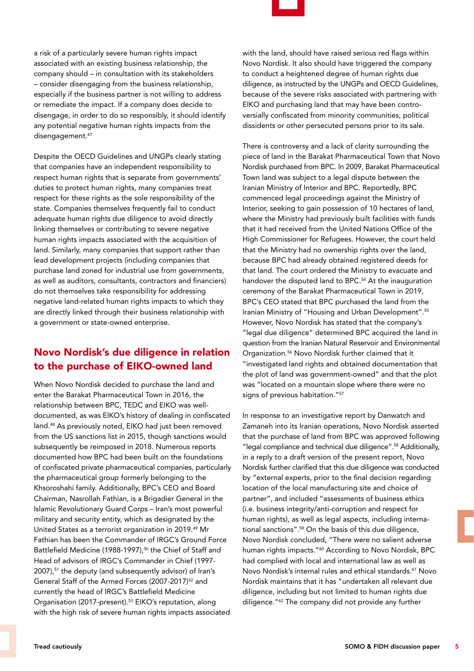a risk of a particularly severe human rights impact associated with an existing business relationship, the company should – in consultation with its stakeholders – consider disengaging from the business relationship, especially if the business partner is not willing to address or remediate the impact. If a company does decide to disengage, in order to do so responsibly, it should identify any potential negative human rights impacts from the disengagement.<sup>47</sup>

Despite the OECD Guidelines and UNGPs clearly stating that companies have an independent responsibility to respect human rights that is separate from governments' duties to protect human rights, many companies treat respect for these rights as the sole responsibility of the state. Companies themselves frequently fail to conduct adequate human rights due diligence to avoid directly linking themselves or contributing to severe negative human rights impacts associated with the acquisition of land. Similarly, many companies that support rather than lead development projects (including companies that purchase land zoned for industrial use from governments, as well as auditors, consultants, contractors and financiers) do not themselves take responsibility for addressing negative land-related human rights impacts to which they are directly linked through their business relationship with a government or state-owned enterprise.

## Novo Nordisk's due diligence in relation to the purchase of EIKO-owned land

When Novo Nordisk decided to purchase the land and enter the Barakat Pharmaceutical Town in 2016, the relationship between BPC, TEDC and EIKO was welldocumented, as was EIKO's history of dealing in confiscated land.48 As previously noted, EIKO had just been removed from the US sanctions list in 2015, though sanctions would subsequently be reimposed in 2018. Numerous reports documented how BPC had been built on the foundations of confiscated private pharmaceutical companies, particularly the pharmaceutical group formerly belonging to the Khsoroshahi family. Additionally, BPC's CEO and Board Chairman, Nasrollah Fathian, is a Brigadier General in the Islamic Revolutionary Guard Corps – Iran's most powerful military and security entity, which as designated by the United States as a terrorist organization in 2019.49 Mr Fathian has been the Commander of IRGC's Ground Force Battlefield Medicine (1988-1997),<sup>50</sup> the Chief of Staff and Head of advisors of IRGC's Commander in Chief (1997- 2007),51 the deputy (and subsequently advisor) of Iran's General Staff of the Armed Forces (2007-2017)<sup>52</sup> and currently the head of IRGC's Battlefield Medicine Organisation (2017-present).53 EIKO's reputation, along with the high risk of severe human rights impacts associated



with the land, should have raised serious red flags within Novo Nordisk. It also should have triggered the company to conduct a heightened degree of human rights due diligence, as instructed by the UNGPs and OECD Guidelines, because of the severe risks associated with partnering with EIKO and purchasing land that may have been controversially confiscated from minority communities, political dissidents or other persecuted persons prior to its sale.

There is controversy and a lack of clarity surrounding the piece of land in the Barakat Pharmaceutical Town that Novo Nordisk purchased from BPC. In 2009, Barakat Pharmaceutical Town land was subject to a legal dispute between the Iranian Ministry of Interior and BPC. Reportedly, BPC commenced legal proceedings against the Ministry of Interior, seeking to gain possession of 10 hectares of land, where the Ministry had previously built facilities with funds that it had received from the United Nations Office of the High Commissioner for Refugees. However, the court held that the Ministry had no ownership rights over the land, because BPC had already obtained registered deeds for that land. The court ordered the Ministry to evacuate and handover the disputed land to BPC.<sup>54</sup> At the inauguration ceremony of the Barakat Pharmaceutical Town in 2019, BPC's CEO stated that BPC purchased the land from the Iranian Ministry of "Housing and Urban Development".55 However, Novo Nordisk has stated that the company's "legal due diligence" determined BPC acquired the land in question from the Iranian Natural Reservoir and Environmental Organization.56 Novo Nordisk further claimed that it "investigated land rights and obtained documentation that the plot of land was government-owned" and that the plot was "located on a mountain slope where there were no signs of previous habitation."57

In response to an investigative report by Danwatch and Zamaneh into its Iranian operations, Novo Nordisk asserted that the purchase of land from BPC was approved following "legal compliance and technical due diligence".58 Additionally, in a reply to a draft version of the present report, Novo Nordisk further clarified that this due diligence was conducted by "external experts, prior to the final decision regarding location of the local manufacturing site and choice of partner", and included "assessments of business ethics (i.e. business integrity/anti-corruption and respect for human rights), as well as legal aspects, including international sanctions".59 On the basis of this due diligence, Novo Nordisk concluded, "There were no salient adverse human rights impacts."<sup>60</sup> According to Novo Nordisk, BPC had complied with local and international law as well as Novo Nordisk's internal rules and ethical standards.61 Novo Nordisk maintains that it has "undertaken all relevant due diligence, including but not limited to human rights due diligence."62 The company did not provide any further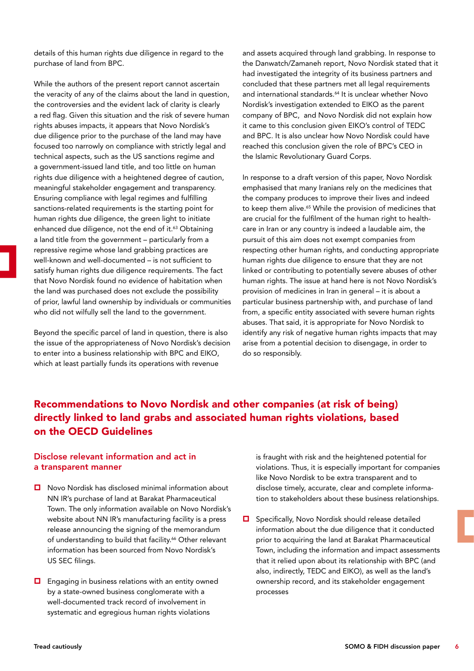details of this human rights due diligence in regard to the purchase of land from BPC.

While the authors of the present report cannot ascertain the veracity of any of the claims about the land in question, the controversies and the evident lack of clarity is clearly a red flag. Given this situation and the risk of severe human rights abuses impacts, it appears that Novo Nordisk's due diligence prior to the purchase of the land may have focused too narrowly on compliance with strictly legal and technical aspects, such as the US sanctions regime and a government-issued land title, and too little on human rights due diligence with a heightened degree of caution, meaningful stakeholder engagement and transparency. Ensuring compliance with legal regimes and fulfilling sanctions-related requirements is the starting point for human rights due diligence, the green light to initiate enhanced due diligence, not the end of it.<sup>63</sup> Obtaining a land title from the government – particularly from a repressive regime whose land grabbing practices are well-known and well-documented – is not sufficient to satisfy human rights due diligence requirements. The fact that Novo Nordisk found no evidence of habitation when the land was purchased does not exclude the possibility of prior, lawful land ownership by individuals or communities who did not wilfully sell the land to the government.

Beyond the specific parcel of land in question, there is also the issue of the appropriateness of Novo Nordisk's decision to enter into a business relationship with BPC and EIKO, which at least partially funds its operations with revenue

and assets acquired through land grabbing. In response to the Danwatch/Zamaneh report, Novo Nordisk stated that it had investigated the integrity of its business partners and concluded that these partners met all legal requirements and international standards.<sup>64</sup> It is unclear whether Novo Nordisk's investigation extended to EIKO as the parent company of BPC, and Novo Nordisk did not explain how it came to this conclusion given EIKO's control of TEDC and BPC. It is also unclear how Novo Nordisk could have reached this conclusion given the role of BPC's CEO in the Islamic Revolutionary Guard Corps.

In response to a draft version of this paper, Novo Nordisk emphasised that many Iranians rely on the medicines that the company produces to improve their lives and indeed to keep them alive.<sup>65</sup> While the provision of medicines that are crucial for the fulfilment of the human right to healthcare in Iran or any country is indeed a laudable aim, the pursuit of this aim does not exempt companies from respecting other human rights, and conducting appropriate human rights due diligence to ensure that they are not linked or contributing to potentially severe abuses of other human rights. The issue at hand here is not Novo Nordisk's provision of medicines in Iran in general – it is about a particular business partnership with, and purchase of land from, a specific entity associated with severe human rights abuses. That said, it is appropriate for Novo Nordisk to identify any risk of negative human rights impacts that may arise from a potential decision to disengage, in order to do so responsibly.

## Recommendations to Novo Nordisk and other companies (at risk of being) directly linked to land grabs and associated human rights violations, based on the OECD Guidelines

### Disclose relevant information and act in a transparent manner

- $\Box$  Novo Nordisk has disclosed minimal information about NN IR's purchase of land at Barakat Pharmaceutical Town. The only information available on Novo Nordisk's website about NN IR's manufacturing facility is a press release announcing the signing of the memorandum of understanding to build that facility.<sup>66</sup> Other relevant information has been sourced from Novo Nordisk's US SEC filings.
- $\Box$  Engaging in business relations with an entity owned by a state-owned business conglomerate with a well-documented track record of involvement in systematic and egregious human rights violations

is fraught with risk and the heightened potential for violations. Thus, it is especially important for companies like Novo Nordisk to be extra transparent and to disclose timely, accurate, clear and complete information to stakeholders about these business relationships.

 $\Box$  Specifically, Novo Nordisk should release detailed information about the due diligence that it conducted prior to acquiring the land at Barakat Pharmaceutical Town, including the information and impact assessments that it relied upon about its relationship with BPC (and also, indirectly, TEDC and EIKO), as well as the land's ownership record, and its stakeholder engagement processes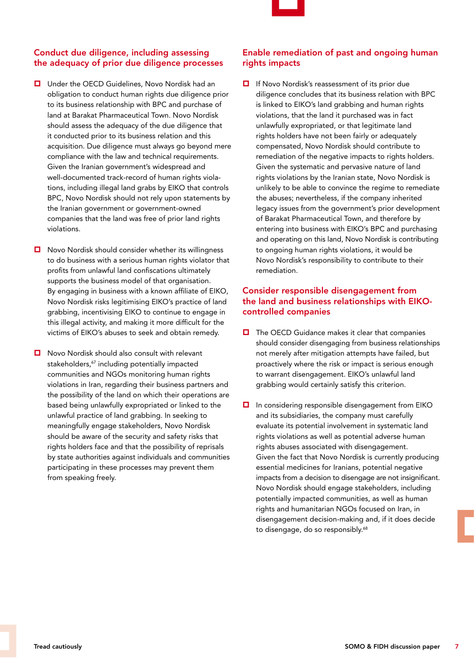

### Conduct due diligence, including assessing the adequacy of prior due diligence processes

- Under the OECD Guidelines, Novo Nordisk had an obligation to conduct human rights due diligence prior to its business relationship with BPC and purchase of land at Barakat Pharmaceutical Town. Novo Nordisk should assess the adequacy of the due diligence that it conducted prior to its business relation and this acquisition. Due diligence must always go beyond mere compliance with the law and technical requirements. Given the Iranian government's widespread and well-documented track-record of human rights violations, including illegal land grabs by EIKO that controls BPC, Novo Nordisk should not rely upon statements by the Iranian government or government-owned companies that the land was free of prior land rights violations.
- $\Box$  Novo Nordisk should consider whether its willingness to do business with a serious human rights violator that profits from unlawful land confiscations ultimately supports the business model of that organisation. By engaging in business with a known affiliate of EIKO, Novo Nordisk risks legitimising EIKO's practice of land grabbing, incentivising EIKO to continue to engage in this illegal activity, and making it more difficult for the victims of EIKO's abuses to seek and obtain remedy.
- Novo Nordisk should also consult with relevant stakeholders,<sup>67</sup> including potentially impacted communities and NGOs monitoring human rights violations in Iran, regarding their business partners and the possibility of the land on which their operations are based being unlawfully expropriated or linked to the unlawful practice of land grabbing. In seeking to meaningfully engage stakeholders, Novo Nordisk should be aware of the security and safety risks that rights holders face and that the possibility of reprisals by state authorities against individuals and communities participating in these processes may prevent them from speaking freely.

#### Enable remediation of past and ongoing human rights impacts

**□** If Novo Nordisk's reassessment of its prior due diligence concludes that its business relation with BPC is linked to EIKO's land grabbing and human rights violations, that the land it purchased was in fact unlawfully expropriated, or that legitimate land rights holders have not been fairly or adequately compensated, Novo Nordisk should contribute to remediation of the negative impacts to rights holders. Given the systematic and pervasive nature of land rights violations by the Iranian state, Novo Nordisk is unlikely to be able to convince the regime to remediate the abuses; nevertheless, if the company inherited legacy issues from the government's prior development of Barakat Pharmaceutical Town, and therefore by entering into business with EIKO's BPC and purchasing and operating on this land, Novo Nordisk is contributing to ongoing human rights violations, it would be Novo Nordisk's responsibility to contribute to their remediation.

#### Consider responsible disengagement from the land and business relationships with EIKOcontrolled companies

- $\Box$  The OECD Guidance makes it clear that companies should consider disengaging from business relationships not merely after mitigation attempts have failed, but proactively where the risk or impact is serious enough to warrant disengagement. EIKO's unlawful land grabbing would certainly satisfy this criterion.
- In considering responsible disengagement from EIKO and its subsidiaries, the company must carefully evaluate its potential involvement in systematic land rights violations as well as potential adverse human rights abuses associated with disengagement. Given the fact that Novo Nordisk is currently producing essential medicines for Iranians, potential negative impacts from a decision to disengage are not insignificant. Novo Nordisk should engage stakeholders, including potentially impacted communities, as well as human rights and humanitarian NGOs focused on Iran, in disengagement decision-making and, if it does decide to disengage, do so responsibly.<sup>68</sup>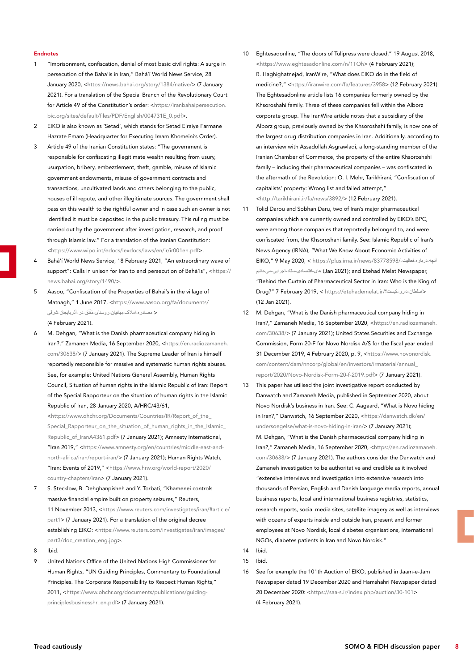#### Endnotes

- 1 "Imprisonment, confiscation, denial of most basic civil rights: A surge in persecution of the Baha'is in Iran," Bahá'í World News Service, 28 January 2020, <<https://news.bahai.org/story/1384/native/>> (7 January 2021). For a translation of the Special Branch of the Revolutionary Court for Article 49 of the Constitution's order: <[https://iranbahaipersecution.](https://iranbahaipersecution.bic.org/sites/default/files/PDF/English/004731E_0.pdf) [bic.org/sites/default/files/PDF/English/004731E\\_0.pdf>](https://iranbahaipersecution.bic.org/sites/default/files/PDF/English/004731E_0.pdf).
- 2 EIKO is also known as 'Setad', which stands for Setad Eiraive Farmane Hazrate Emam (Headquarter for Executing Imam Khomeini's Order).
- 3 Article 49 of the Iranian Constitution states: "The government is responsible for confiscating illegitimate wealth resulting from usury, usurpation, bribery, embezzlement, theft, gamble, misuse of Islamic government endowments, misuse of government contracts and transactions, uncultivated lands and others belonging to the public, houses of ill repute, and other illegitimate sources. The government shall pass on this wealth to the rightful owner and in case such an owner is not identified it must be deposited in the public treasury. This ruling must be carried out by the government after investigation, research, and proof through Islamic law." For a translation of the Iranian Constitution: [<https://www.wipo.int/edocs/lexdocs/laws/en/ir/ir001en.pdf>](https://www.wipo.int/edocs/lexdocs/laws/en/ir/ir001en.pdf).
- 4 Bahá'í World News Service, 18 February 2021, "An extraordinary wave of support": Calls in unison for Iran to end persecution of Bahá'ís", [<https://](https://news.bahai.org/story/1490/) [news.bahai.org/story/1490/](https://news.bahai.org/story/1490/)>.
- 5 Aasoo, "Confiscation of the Properties of Bahai's in the village of Matnagh," 1 June 2017, [<https://www.aasoo.org/fa/documents/](https://www.aasoo.org/fa/documents/كصادرم-اكفا_-بمائ_ال-رنستا_-كپتپلپ^-در-آذربا_جال-شر^_ ) < [مصادره-](https://www.aasoo.org/fa/documents/كصادرم-اكفا_-بمائ_ال-رنستا_-كپتپلپ^-در-آذربا_جال-شر^_ ) َ [امالک-بهائیان-روستای-مَتَنق-در-آذربایجان-شرقی](https://www.aasoo.org/fa/documents/كصادرم-اكفا_-بمائ_ال-رنستا_-كپتپلپ^-در-آذربا_جال-شر^_ ) (4 February 2021).

M. Dehgan, "What is the Danish pharmaceutical company hiding in Iran?," Zamaneh Media, 16 September 2020, <[https://en.radiozamaneh.](https://en.radiozamaneh.com/30638/) [com/30638/>](https://en.radiozamaneh.com/30638/) (7 January 2021). The Supreme Leader of Iran is himself reportedly responsible for massive and systematic human rights abuses. See, for example: United Nations General Assembly, Human Rights Council, Situation of human rights in the Islamic Republic of Iran: Report of the Special Rapporteur on the situation of human rights in the Islamic Republic of Iran, 28 January 2020, A/HRC/43/61,

[<https://www.ohchr.org/Documents/Countries/IR/Report\\_of\\_the\\_](https://www.ohchr.org/Documents/Countries/IR/Report_of_the_Special_Rapporteur_on_the_situation_of_human_rights_in_the_Islamic_Republic_of_IranA4361.pdf) [Special\\_Rapporteur\\_on\\_the\\_situation\\_of\\_human\\_rights\\_in\\_the\\_Islamic\\_](https://www.ohchr.org/Documents/Countries/IR/Report_of_the_Special_Rapporteur_on_the_situation_of_human_rights_in_the_Islamic_Republic_of_IranA4361.pdf) [Republic\\_of\\_IranA4361.pdf](https://www.ohchr.org/Documents/Countries/IR/Report_of_the_Special_Rapporteur_on_the_situation_of_human_rights_in_the_Islamic_Republic_of_IranA4361.pdf)> (7 January 2021); Amnesty International, "Iran 2019," <[https://www.amnesty.org/en/countries/middle-east-and](https://www.amnesty.org/en/countries/middle-east-and-north-africa/iran/report-iran/)[north-africa/iran/report-iran/>](https://www.amnesty.org/en/countries/middle-east-and-north-africa/iran/report-iran/) (7 January 2021); Human Rights Watch, "Iran: Events of 2019," <[https://www.hrw.org/world-report/2020/](https://www.hrw.org/world-report/2020/country-chapters/iran) [country-chapters/iran>](https://www.hrw.org/world-report/2020/country-chapters/iran) (7 January 2021).

- 7 S. Stecklow, B. Dehghanpisheh and Y. Torbati, "Khamenei controls massive financial empire built on property seizures," Reuters, 11 November 2013, <[https://www.reuters.com/investigates/iran/#article/](https://www.reuters.com/investigates/iran/#article/part1) [part1](https://www.reuters.com/investigates/iran/#article/part1)> (7 January 2021). For a translation of the original decree establishing EIKO: <[https://www.reuters.com/investigates/iran/images/](https://www.reuters.com/investigates/iran/images/part3/doc_creation_eng.jpg) [part3/doc\\_creation\\_eng.jpg](https://www.reuters.com/investigates/iran/images/part3/doc_creation_eng.jpg)>.
- 8 Ibid.
- 9 United Nations Office of the United Nations High Commissioner for Human Rights, "UN Guiding Principles, Commentary to Foundational Principles. The Corporate Responsibility to Respect Human Rights." 2011, <[https://www.ohchr.org/documents/publications/guiding](https://www.ohchr.org/documents/publications/guidingprinciplesbusinesshr_en.pdf)[principlesbusinesshr\\_en.pdf>](https://www.ohchr.org/documents/publications/guidingprinciplesbusinesshr_en.pdf) (7 January 2021).
- 10 Eghtesadonline, "The doors of Tulipress were closed," 19 August 2018, [<https://www.eghtesadonline.com/n/1TOh](https://www.eghtesadonline.com/n/1TOh)> (4 February 2021); R. Haghighatnejad, IranWire, "What does EIKO do in the field of medicine?," <[https://iranwire.com/fa/features/3958>](https://iranwire.com/fa/features/3958) (12 February 2021). The Eghtesadonline article lists 16 companies formerly owned by the Khsoroshahi family. Three of these companies fell within the Alborz corporate group. The IranWire article notes that a subsidiary of the Alborz group, previously owned by the Khsoroshahi family, is now one of the largest drug distribution companies in Iran. Additionally, according to an interview with Assadollah Asgrawladi, a long-standing member of the Iranian Chamber of Commerce, the property of the entire Khsoroshahi family – including their pharmaceutical companies – was confiscated in the aftermath of the Revolution: O. I. Mehr, Tarikhirani, "Confiscation of capitalists' property: Wrong list and failed attempt," [<http://tarikhirani.ir/fa/news/3892/](http://tarikhirani.ir/fa/news/3892/%D9%85%D8%B5%D8%A7%D8%AF%D8%B1%D9%87-%D8%A7%D9%85%D9%88%D8%A7%D9%84-%D8%B3%D8%B1%D9%85%D8%A7%DB%8C%D9%87-%D8%AF%D8%A7%D8%B1%D8%A7%D9%86-%D9%81%D9%87%D8%B1%D8%B3%D8%AA-%D8%A7%D8%B4%D8%AA%D8%A8%D8%A7%D9%87-%D9%88-%D8%AA%D9%84%D8%A7%D8%B4-%D9%86%D8%A7%DA%A9%D8%A7%D9%85)> (12 February 2021).
- 11 Tolid Darou and Sobhan Daru, two of Iran's major pharmaceutical companies which are currently owned and controlled by EIKO's BPC, were among those companies that reportedly belonged to, and were confiscated from, the Khsoroshahi family. See: Islamic Republic of Iran's News Agency (IRNA), "What We Know About Economic Activities of EIKO," 9 May 2020, < [https://plus.irna.ir/news/83778598/](https://plus.irna.ir/news/83778598/آلçم-دربارم-]غاف_ت-ما_-ا^تصاد_-ستاد-اجرا_-ك_-دال_ك)-فعالیت-درباره-آنچه ,Jan 2021); and Etehad Melat Newspaper فای-اقتصادی-ستاد-اجرایی-می-دانیم "Behind the Curtain of Pharmaceutical Sector in Iran: Who is the King of Drug?" 7 February 2019, < [https://etehademelat.ir/](https://etehademelat.ir/سفظال-دارن-_/)کیست؟-دارو-سلطان/ < (12 Jan 2021).
- 12 M. Dehgan, "What is the Danish pharmaceutical company hiding in Iran?," Zamaneh Media, 16 September 2020, <[https://en.radiozamaneh.](https://en.radiozamaneh.com/30638/) [com/30638/>](https://en.radiozamaneh.com/30638/) (7 January 2021); United States Securities and Exchange Commission, Form 20-F for Novo Nordisk A/S for the fiscal year ended 31 December 2019, 4 February 2020, p. 9, <[https://www.novonordisk.](https://www.novonordisk.com/content/dam/nncorp/global/en/investors/irmaterial/annual_report/2020/Novo-Nordisk-Form-20-f-2019.pdf) [com/content/dam/nncorp/global/en/investors/irmaterial/annual\\_](https://www.novonordisk.com/content/dam/nncorp/global/en/investors/irmaterial/annual_report/2020/Novo-Nordisk-Form-20-f-2019.pdf) [report/2020/Novo-Nordisk-Form-20-f-2019.pdf](https://www.novonordisk.com/content/dam/nncorp/global/en/investors/irmaterial/annual_report/2020/Novo-Nordisk-Form-20-f-2019.pdf)> (7 January 2021).
- 13 This paper has utilised the joint investigative report conducted by Danwatch and Zamaneh Media, published in September 2020, about Novo Nordisk's business in Iran. See: C. Aagaard, "What is Novo hiding in Iran?," Danwatch, 16 September 2020, <[https://danwatch.dk/en/](https://danwatch.dk/en/undersoegelse/what-is-novo-hiding-in-iran/) [undersoegelse/what-is-novo-hiding-in-iran/](https://danwatch.dk/en/undersoegelse/what-is-novo-hiding-in-iran/)> (7 January 2021); M. Dehgan, "What is the Danish pharmaceutical company hiding in Iran?," Zamaneh Media, 16 September 2020, <[https://en.radiozamaneh.](https://en.radiozamaneh.com/30638/) [com/30638/>](https://en.radiozamaneh.com/30638/) (7 January 2021). The authors consider the Danwatch and Zamaneh investigation to be authoritative and credible as it involved "extensive interviews and investigation into extensive research into thousands of Persian, English and Danish language media reports, annual business reports, local and international business registries, statistics, research reports, social media sites, satellite imagery as well as interviews with dozens of experts inside and outside Iran, present and former employees at Novo Nordisk, local diabetes organisations, international NGOs, diabetes patients in Iran and Novo Nordisk."
- 14 Ibid.

16 See for example the 101th Auction of EIKO, published in Jaam-e-Jam Newspaper dated 19 December 2020 and Hamshahri Newspaper dated 20 December 2020: [<https://saa-s.ir/index.php/auction/30-101>](https://saa-s.ir/index.php/auction/30-101) (4 February 2021).

<sup>15</sup> Ibid.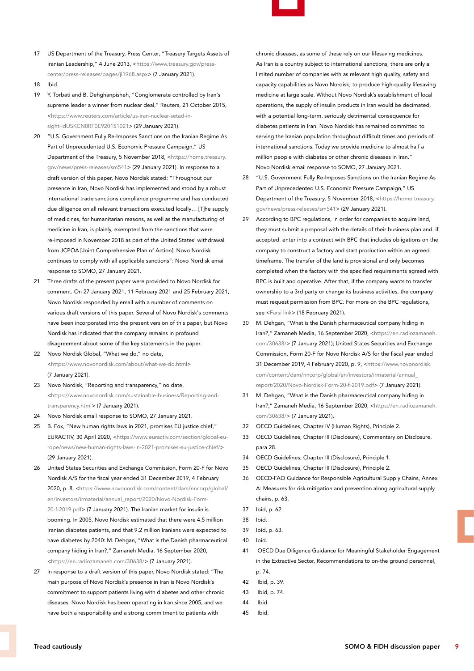- 17 US Department of the Treasury, Press Center, "Treasury Targets Assets of Iranian Leadership," 4 June 2013, [<https://www.treasury.gov/press](https://www.treasury.gov/press-center/press-releases/pages/jl1968.aspx)[center/press-releases/pages/jl1968.aspx>](https://www.treasury.gov/press-center/press-releases/pages/jl1968.aspx) (7 January 2021).
- 18 Ibid.
- 19 Y. Torbati and B. Dehghanpisheh, "Conglomerate controlled by Iran's supreme leader a winner from nuclear deal," Reuters, 21 October 2015, [<https://www.reuters.com/article/us-iran-nuclear-setad-in](https://www.reuters.com/article/us-iran-nuclear-setad-insight-idUSKCN0RF0E920151021)[sight-idUSKCN0RF0E920151021>](https://www.reuters.com/article/us-iran-nuclear-setad-insight-idUSKCN0RF0E920151021) (29 January 2021).
- 20 "U.S. Government Fully Re-Imposes Sanctions on the Iranian Regime As Part of Unprecedented U.S. Economic Pressure Campaign," US Department of the Treasury, 5 November 2018, <[https://home.treasury.](https://home.treasury.gov/news/press-releases/sm541) [gov/news/press-releases/sm541>](https://home.treasury.gov/news/press-releases/sm541) (29 January 2021). In response to a draft version of this paper, Novo Nordisk stated: "Throughout our presence in Iran, Novo Nordisk has implemented and stood by a robust international trade sanctions compliance programme and has conducted due diligence on all relevant transactions executed locally… [T]he supply of medicines, for humanitarian reasons, as well as the manufacturing of medicine in Iran, is plainly, exempted from the sanctions that were re-imposed in November 2018 as part of the United States' withdrawal from JCPOA [Joint Comprehensive Plan of Action]. Novo Nordisk continues to comply with all applicable sanctions": Novo Nordisk email response to SOMO, 27 January 2021.
- 21 Three drafts of the present paper were provided to Novo Nordisk for comment. On 27 January 2021, 11 February 2021 and 25 February 2021, Novo Nordisk responded by email with a number of comments on various draft versions of this paper. Several of Novo Nordisk's comments have been incorporated into the present version of this paper, but Novo Nordisk has indicated that the company remains in profound disagreement about some of the key statements in the paper.
- 22 Novo Nordisk Global, "What we do," no date, [<https://www.novonordisk.com/about/what-we-do.html](https://www.novonordisk.com/about/what-we-do.html)> (7 January 2021).
- 23 Novo Nordisk, "Reporting and transparency," no date, [<https://www.novonordisk.com/sustainable-business/Reporting-and](https://www.novonordisk.com/sustainable-business/Reporting-and-transparency.html)[transparency.html](https://www.novonordisk.com/sustainable-business/Reporting-and-transparency.html)> (7 January 2021).
- 24 Novo Nordisk email response to SOMO, 27 January 2021.
- 25 B. Fox, "New human rights laws in 2021, promises EU justice chief," EURACTIV, 30 April 2020, <[https://www.euractiv.com/section/global-eu](https://www.euractiv.com/section/global-europe/news/new-human-rights-laws-in-2021-promises-eu-justice-chief/)[rope/news/new-human-rights-laws-in-2021-promises-eu-justice-chief/>](https://www.euractiv.com/section/global-europe/news/new-human-rights-laws-in-2021-promises-eu-justice-chief/) (29 January 2021).
- 26 United States Securities and Exchange Commission, Form 20-F for Novo Nordisk A/S for the fiscal year ended 31 December 2019, 4 February 2020, p. 8, <[https://www.novonordisk.com/content/dam/nncorp/global/](https://www.novonordisk.com/content/dam/nncorp/global/en/investors/irmaterial/annual_report/2020/Novo-Nordisk-Form-20-f-2019.pdf) [en/investors/irmaterial/annual\\_report/2020/Novo-Nordisk-Form-](https://www.novonordisk.com/content/dam/nncorp/global/en/investors/irmaterial/annual_report/2020/Novo-Nordisk-Form-20-f-2019.pdf)[20-f-2019.pdf](https://www.novonordisk.com/content/dam/nncorp/global/en/investors/irmaterial/annual_report/2020/Novo-Nordisk-Form-20-f-2019.pdf)> (7 January 2021). The Iranian market for insulin is booming. In 2005, Novo Nordisk estimated that there were 4.5 million Iranian diabetes patients, and that 9.2 million Iranians were expected to have diabetes by 2040: M. Dehgan, "What is the Danish pharmaceutical company hiding in Iran?," Zamaneh Media, 16 September 2020, [<https://en.radiozamaneh.com/30638/](https://en.radiozamaneh.com/30638/)> (7 January 2021).
- 27 In response to a draft version of this paper, Novo Nordisk stated: "The main purpose of Novo Nordisk's presence in Iran is Novo Nordisk's commitment to support patients living with diabetes and other chronic diseases. Novo Nordisk has been operating in Iran since 2005, and we have both a responsibility and a strong commitment to patients with

chronic diseases, as some of these rely on our lifesaving medicines. As Iran is a country subject to international sanctions, there are only a limited number of companies with as relevant high quality, safety and capacity capabilities as Novo Nordisk, to produce high-quality lifesaving medicine at large scale. Without Novo Nordisk's establishment of local operations, the supply of insulin products in Iran would be decimated, with a potential long-term, seriously detrimental consequence for diabetes patients in Iran. Novo Nordisk has remained committed to serving the Iranian population throughout difficult times and periods of international sanctions. Today we provide medicine to almost half a million people with diabetes or other chronic diseases in Iran." Novo Nordisk email response to SOMO, 27 January 2021.

- 28 "U.S. Government Fully Re-Imposes Sanctions on the Iranian Regime As Part of Unprecedented U.S. Economic Pressure Campaign," US Department of the Treasury, 5 November 2018, [<https://home.treasury.](https://home.treasury.gov/news/press-releases/sm541) [gov/news/press-releases/sm541>](https://home.treasury.gov/news/press-releases/sm541) (29 January 2021).
- 29 According to BPC regulations, in order for companies to acquire land, they must submit a proposal with the details of their business plan and. if accepted. enter into a contract with BPC that includes obligations on the company to construct a factory and start production within an agreed timeframe. The transfer of the land is provisional and only becomes completed when the factory with the specified requirements agreed with BPC is built and operative. After that, if the company wants to transfer ownership to a 3rd party or change its business activities, the company must request permission from BPC. For more on the BPC regulations, see [<Farsi link](https://fastcdn.pro/filegallery/pharmaclean.ir/new my file/%D8%A2%D8%A6%DB%8C%D9%86 %D9%86%D8%A7%D9%85%D9%87 %D8%A7%D8%B1%D8%A7%D8%B6%DB%8C.pdf)> (18 February 2021).
- 30 M. Dehgan, "What is the Danish pharmaceutical company hiding in Iran?," Zamaneh Media, 16 September 2020, <[https://en.radiozamaneh.](https://en.radiozamaneh.com/30638/) [com/30638/>](https://en.radiozamaneh.com/30638/) (7 January 2021); United States Securities and Exchange Commission, Form 20-F for Novo Nordisk A/S for the fiscal year ended 31 December 2019, 4 February 2020, p. 9, <[https://www.novonordisk.](https://www.novonordisk.com/content/dam/nncorp/global/en/investors/irmaterial/annual_report/2020/Novo-Nordisk-Form-20-f-2019.pdf) [com/content/dam/nncorp/global/en/investors/irmaterial/annual\\_](https://www.novonordisk.com/content/dam/nncorp/global/en/investors/irmaterial/annual_report/2020/Novo-Nordisk-Form-20-f-2019.pdf) [report/2020/Novo-Nordisk-Form-20-f-2019.pdf>](https://www.novonordisk.com/content/dam/nncorp/global/en/investors/irmaterial/annual_report/2020/Novo-Nordisk-Form-20-f-2019.pdf) (7 January 2021).
- 31 M. Dehgan, "What is the Danish pharmaceutical company hiding in Iran?," Zamaneh Media, 16 September 2020, <[https://en.radiozamaneh.](https://en.radiozamaneh.com/30638/) [com/30638/>](https://en.radiozamaneh.com/30638/) (7 January 2021).
- 32 OECD Guidelines, Chapter IV (Human Rights), Principle 2.
- 33 OECD Guidelines, Chapter III (Disclosure), Commentary on Disclosure, para 28.
- 34 OECD Guidelines, Chapter III (Disclosure), Principle 1.
- 35 OECD Guidelines, Chapter III (Disclosure), Principle 2.
- 36 OECD-FAO Guidance for Responsible Agricultural Supply Chains, Annex A: Measures for risk mitigation and prevention along agricultural supply chains, p. 63.
- 37 Ibid, p. 62.
- 38 Ibid.
- 39 Ibid, p. 63.
- 40 Ibid.
- 41 OECD Due Diligence Guidance for Meaningful Stakeholder Engagement in the Extractive Sector, Recommendations to on-the ground personnel, p. 74.
- 42 Ibid, p. 39.
- 43 Ibid, p. 74.
- 44 Ibid.
- 45 Ibid.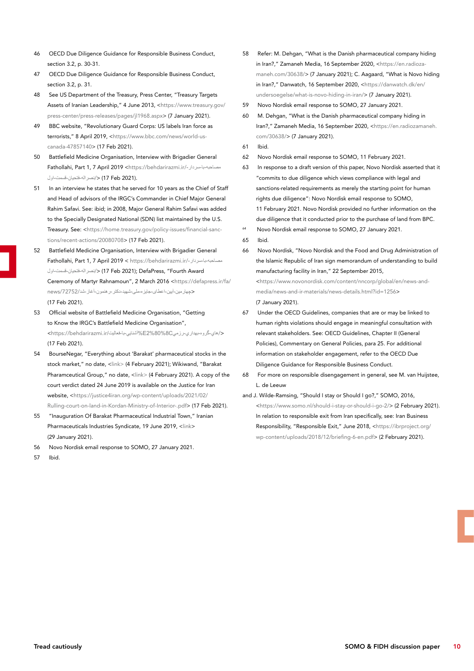- 46 OECD Due Diligence Guidance for Responsible Business Conduct, section 3.2, p. 30-31.
- 47 OECD Due Diligence Guidance for Responsible Business Conduct, section 3.2, p. 31.
- 48 See US Department of the Treasury, Press Center, "Treasury Targets Assets of Iranian Leadership," 4 June 2013, <[https://www.treasury.gov/](https://www.treasury.gov/press-center/press-releases/pages/jl1968.aspx) [press-center/press-releases/pages/jl1968.aspx](https://www.treasury.gov/press-center/press-releases/pages/jl1968.aspx)> (7 January 2021).
- 49 BBC website, "Revolutionary Guard Corps: US labels Iran force as terrorists," 8 April 2019, <[https://www.bbc.com/news/world-us](https://www.bbc.com/news/world-us-canada-47857140)[canada-47857140](https://www.bbc.com/news/world-us-canada-47857140)> (17 Feb 2021).
- 50 Battlefield Medicine Organisation, Interview with Brigadier General Fathollahi, Part 1, 7 April 2019 [<https://behdarirazmi.ir/](https://behdarirazmi.ir/كصاحبم-با-سردار-لصرافم-]تحٍال-^سكت-انف/)-سردار-با-مصاحبه </[نصراله-فتحيان-قسمت-اول](https://behdarirazmi.ir/كصاحبم-با-سردار-لصرافم-]تحٍال-^سكت-انف/) (17 Feb 2021).
- 51 In an interview he states that he served for 10 years as the Chief of Staff and Head of advisors of the IRGC's Commander in Chief Major General Rahim Safavi. See: ibid; in 2008, Major General Rahim Safavi was added to the Specially Designated National (SDN) list maintained by the U.S. Treasury. See: [<https://home.treasury.gov/policy-issues/financial-sanc](https://home.treasury.gov/policy-issues/financial-sanctions/recent-actions/20080708)[tions/recent-actions/20080708](https://home.treasury.gov/policy-issues/financial-sanctions/recent-actions/20080708)> (17 Feb 2021).
- 52 Battlefield Medicine Organisation, Interview with Brigadier General Fathollahi, Part 1, 7 April 2019 < [https://behdarirazmi.ir/](https://behdarirazmi.ir/كصاحبم-با-سردار-لصرافم-]تحٍال-^سكت-انف/)-سردار-با-مصاحبه </[نصراله-فتحيان-قسمت-اول](https://behdarirazmi.ir/كصاحبم-با-سردار-لصرافم-]تحٍال-^سكت-انف/) (17 Feb 2021); DefaPress, "Fourth AwardCeremony of Martyr Rahnamoun", 2 March 2016 [<https://defapress.ir/fa/](https://behdarirazmi.ir/مصاحبه-با-سردار-نصراله-فتحيان-قسمت-اول/) <[چهارمین-آیین-اعطای-جایزه-ملی-شهید-دکتر-رهنمون-آغاز-شد](https://behdarirazmi.ir/مصاحبه-با-سردار-نصراله-فتحيان-قسمت-اول/)/72752/news (17 Feb 2021).
- 53 Official website of Battlefield Medicine Organisation, "Getting to Know the IRGC's Battlefield Medicine Organisation", </هاي-گروه-بهداري-رزميC2%80%8E%آشنايي-با-فعاليت/[ir.behdarirazmi://https<](https://behdarirazmi.ir/آشنايي-با-فعاليت%E2%80%8Cهاي-گروه-بهداري-رزمي/) (17 Feb 2021).
- 54 BourseNegar, "Everything about 'Barakat' pharmaceutical stocks in the stock market," no date, [<link>](http://www.boursenegar.ir/posts/index/2799/-%D9%87%D9%85%D9%87-%DA%86%DB%8C%D8%B2-%D8%AF%D8%B1%D8%A8%D8%A7%D8%B1%D9%87-%D8%B3%D9%87%D8%A7%D9%85-%D8%AF%D8%A7%D8%B1%D9%88%DB%8C%DB%8C-%D8%A8%D8%B1%DA%A9%D8%AA-%D8%AF%D8%B1-%D8%A8%D9%88%D8%B1%D8%B3-%D8%A7%D8%B2-%D8%A8%D8%AF%D9%88%D9%86-%D9%85%D8%B4%D8%AA%D8%B1%DB%8C-%D9%85%D8%A7%D9%86%D8%AF%D9%86-%D8%A8%D8%B1%DA%A9%D8%AA-%D8%AF%D8%B1-%D8%B9%D8%B1%D8%B6%D9%87-%D8%A7%D9%88%D9%84%DB%8C%D9%87-%D8%AA%D8%A7-%DB%8C%DA%A9%D9%87-%D8%AA%D8%A7%D8%B2%DB%8C-%D8%A8%D8%A7-%D8%INCLUDEPICTURE) (4 February 2021); Wikiwand, "Barakat Pharamceutical Group," no date, <[link](https://www.wikiwand.com/fa/%DA%AF%D8%B1%D9%88%D9%87_%D8%AF%D8%A7%D8%B1%D9%88%DB%8C%DB%8C_%D8%A8%D8%B1%DA%A9%D8%AA)> (4 February 2021). A copy of the court verdict dated 24 June 2019 is available on the Justice for Iran website, [<https://justice4iran.org/wp-content/uploads/2021/02/](https://justice4iran.org/wp-content/uploads/2021/02/Rulling-court-on-land-in-Kordan-Ministry-of-Interior-.pdf) [Rulling-court-on-land-in-Kordan-Ministry-of-Interior-.pdf](https://justice4iran.org/wp-content/uploads/2021/02/Rulling-court-on-land-in-Kordan-Ministry-of-Interior-.pdf)> (17 Feb 2021).
- 55 "Inauguration Of Barakat Pharmaceutical Industrial Town," Iranian Pharmaceuticals Industries Syndicate, 19 June 2019, <[link](http://syndipharma.org/index.php/newsletters1/domestic-news/1632-%D8%A7%EF%AE%B2%DA%A1%D8%AA%D8%AA%D8%A7%D8%AD-%D8%B4%D9%87%D8%B1%DA%A9-%D8%B5%D9%86%D8%B9%D8%AA%DB%8C-%D8%AF%D8%A7%D8%B1%D9%88%D9%AE%EF%AE%B5%DB%8C-%D9%AE%EF%AE%B3%D8%B1%DA%A9%D8%AA.html)> (29 January 2021).
- 56 Novo Nordisk email response to SOMO, 27 January 2021.

57 Ibid.

- 58 Refer: M. Dehgan, "What is the Danish pharmaceutical company hiding in Iran?," Zamaneh Media, 16 September 2020, [<https://en.radioza](https://en.radiozamaneh.com/30638/)[maneh.com/30638/](https://en.radiozamaneh.com/30638/)> (7 January 2021); C. Aagaard, "What is Novo hiding in Iran?," Danwatch, 16 September 2020, <[https://danwatch.dk/en/](https://danwatch.dk/en/undersoegelse/what-is-novo-hiding-in-iran/) [undersoegelse/what-is-novo-hiding-in-iran/](https://danwatch.dk/en/undersoegelse/what-is-novo-hiding-in-iran/)> (7 January 2021).
- 59 Novo Nordisk email response to SOMO, 27 January 2021.
- 60 M. Dehgan, "What is the Danish pharmaceutical company hiding in Iran?," Zamaneh Media, 16 September 2020, <[https://en.radiozamaneh.](https://en.radiozamaneh.com/30638/) [com/30638/>](https://en.radiozamaneh.com/30638/) (7 January 2021).
- 61 Ibid.
- 62 Novo Nordisk email response to SOMO, 11 February 2021.
- 63 In response to a draft version of this paper, Novo Nordisk asserted that it "commits to due diligence which views compliance with legal and sanctions-related requirements as merely the starting point for human rights due diligence": Novo Nordisk email response to SOMO, 11 February 2021. Novo Nordisk provided no further information on the due diligence that it conducted prior to the purchase of land from BPC.
- <sup>64</sup> Novo Nordisk email response to SOMO, 27 January 2021.
- 65 Ibid.
- 66 Novo Nordisk, "Novo Nordisk and the Food and Drug Administration of the Islamic Republic of Iran sign memorandum of understanding to build manufacturing facility in Iran," 22 September 2015, [<https://www.novonordisk.com/content/nncorp/global/en/news-and](https://www.novonordisk.com/content/nncorp/global/en/news-and-media/news-and-ir-materials/news-details.html?id=1256)[media/news-and-ir-materials/news-details.html?id=1256>](https://www.novonordisk.com/content/nncorp/global/en/news-and-media/news-and-ir-materials/news-details.html?id=1256) (7 January 2021).
- 67 Under the OECD Guidelines, companies that are or may be linked to human rights violations should engage in meaningful consultation with relevant stakeholders. See: OECD Guidelines, Chapter II (General Policies), Commentary on General Policies, para 25. For additional information on stakeholder engagement, refer to the OECD Due Diligence Guidance for Responsible Business Conduct.
- 68 For more on responsible disengagement in general, see M. van Huijstee, L. de Leeuw
- and J. Wilde-Ramsing, "Should I stay or Should I go?," SOMO, 2016, [<https://www.somo.nl/should-i-stay-or-should-i-go-2/](https://www.somo.nl/should-i-stay-or-should-i-go-2/)> (2 February 2021). In relation to responsible exit from Iran specifically, see: Iran Business Responsibility, "Responsible Exit," June 2018, [<https://ibrproject.org/](https://ibrproject.org/wp-content/uploads/2018/12/briefing-6-en.pdf) [wp-content/uploads/2018/12/briefing-6-en.pdf>](https://ibrproject.org/wp-content/uploads/2018/12/briefing-6-en.pdf) (2 February 2021).